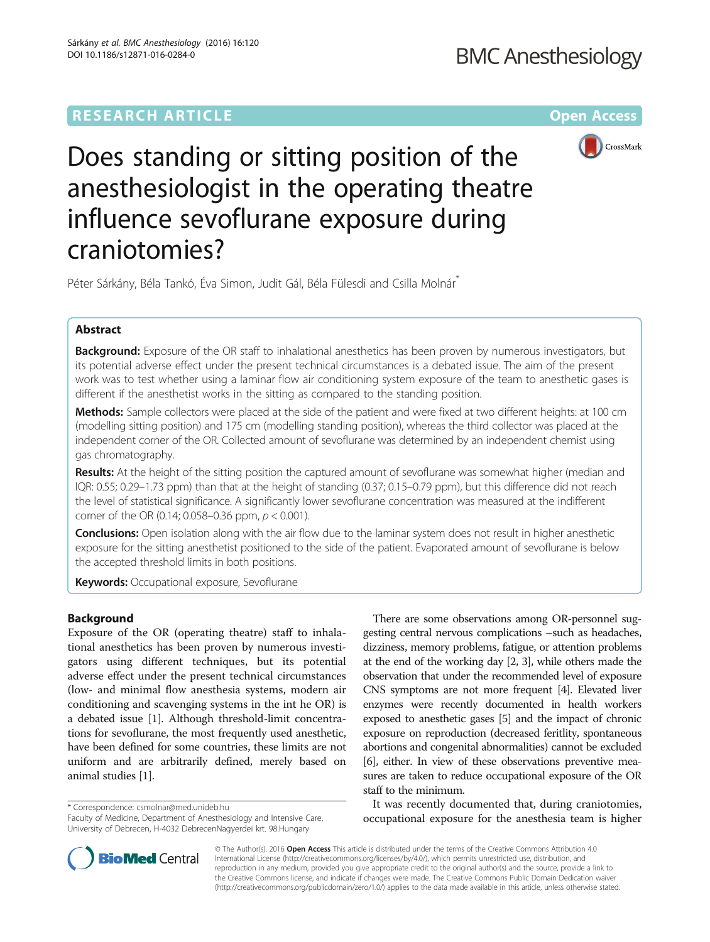# **RESEARCH ARTICLE Example 2014 12:30 The Contract of Contract ACCESS**



Does standing or sitting position of the anesthesiologist in the operating theatre influence sevoflurane exposure during craniotomies?

Péter Sárkány, Béla Tankó, Éva Simon, Judit Gál, Béla Fülesdi and Csilla Molnár<sup>\*</sup>

## Abstract

Background: Exposure of the OR staff to inhalational anesthetics has been proven by numerous investigators, but its potential adverse effect under the present technical circumstances is a debated issue. The aim of the present work was to test whether using a laminar flow air conditioning system exposure of the team to anesthetic gases is different if the anesthetist works in the sitting as compared to the standing position.

Methods: Sample collectors were placed at the side of the patient and were fixed at two different heights: at 100 cm (modelling sitting position) and 175 cm (modelling standing position), whereas the third collector was placed at the independent corner of the OR. Collected amount of sevoflurane was determined by an independent chemist using gas chromatography.

Results: At the height of the sitting position the captured amount of sevoflurane was somewhat higher (median and IQR: 0.55; 0.29–1.73 ppm) than that at the height of standing (0.37; 0.15–0.79 ppm), but this difference did not reach the level of statistical significance. A significantly lower sevoflurane concentration was measured at the indifferent corner of the OR (0.14; 0.058–0.36 ppm,  $p < 0.001$ ).

**Conclusions:** Open isolation along with the air flow due to the laminar system does not result in higher anesthetic exposure for the sitting anesthetist positioned to the side of the patient. Evaporated amount of sevoflurane is below the accepted threshold limits in both positions.

**Keywords: Occupational exposure, Sevoflurane** 

## Background

Exposure of the OR (operating theatre) staff to inhalational anesthetics has been proven by numerous investigators using different techniques, but its potential adverse effect under the present technical circumstances (low- and minimal flow anesthesia systems, modern air conditioning and scavenging systems in the int he OR) is a debated issue [\[1](#page-3-0)]. Although threshold-limit concentrations for sevoflurane, the most frequently used anesthetic, have been defined for some countries, these limits are not uniform and are arbitrarily defined, merely based on animal studies [[1](#page-3-0)].

\* Correspondence: [csmolnar@med.unideb.hu](mailto:csmolnar@med.unideb.hu)

Faculty of Medicine, Department of Anesthesiology and Intensive Care, University of Debrecen, H-4032 DebrecenNagyerdei krt. 98.Hungary



It was recently documented that, during craniotomies, occupational exposure for the anesthesia team is higher



© The Author(s). 2016 Open Access This article is distributed under the terms of the Creative Commons Attribution 4.0 International License [\(http://creativecommons.org/licenses/by/4.0/](http://creativecommons.org/licenses/by/4.0/)), which permits unrestricted use, distribution, and reproduction in any medium, provided you give appropriate credit to the original author(s) and the source, provide a link to the Creative Commons license, and indicate if changes were made. The Creative Commons Public Domain Dedication waiver [\(http://creativecommons.org/publicdomain/zero/1.0/](http://creativecommons.org/publicdomain/zero/1.0/)) applies to the data made available in this article, unless otherwise stated.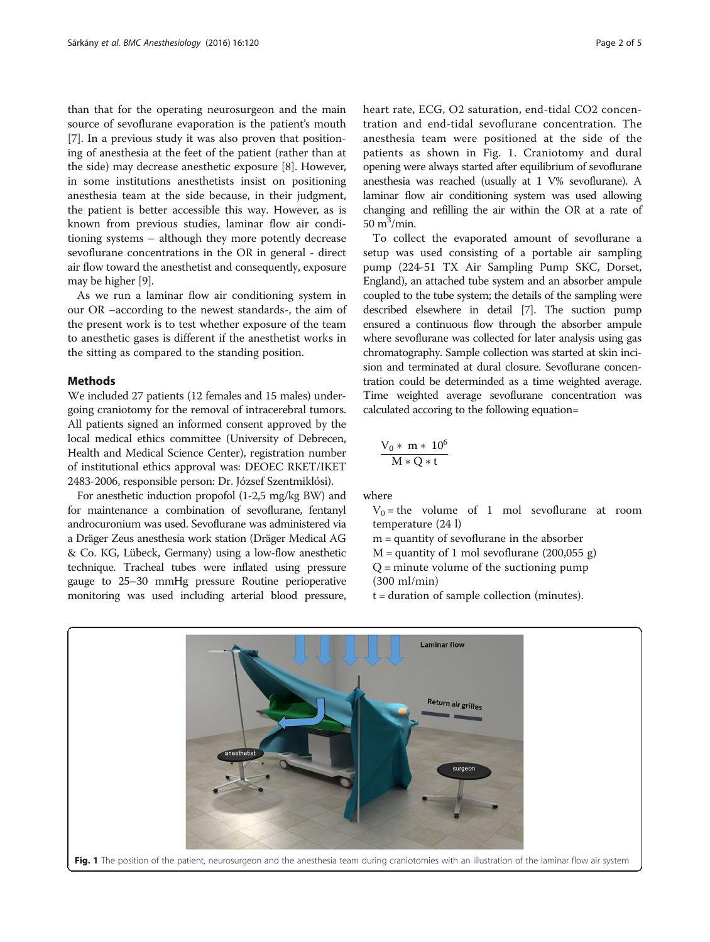<span id="page-1-0"></span>than that for the operating neurosurgeon and the main source of sevoflurane evaporation is the patient's mouth [[7\]](#page-4-0). In a previous study it was also proven that positioning of anesthesia at the feet of the patient (rather than at the side) may decrease anesthetic exposure [\[8](#page-4-0)]. However, in some institutions anesthetists insist on positioning anesthesia team at the side because, in their judgment, the patient is better accessible this way. However, as is known from previous studies, laminar flow air conditioning systems – although they more potently decrease sevoflurane concentrations in the OR in general - direct air flow toward the anesthetist and consequently, exposure may be higher [\[9](#page-4-0)].

As we run a laminar flow air conditioning system in our OR –according to the newest standards-, the aim of the present work is to test whether exposure of the team to anesthetic gases is different if the anesthetist works in the sitting as compared to the standing position.

## **Methods**

We included 27 patients (12 females and 15 males) undergoing craniotomy for the removal of intracerebral tumors. All patients signed an informed consent approved by the local medical ethics committee (University of Debrecen, Health and Medical Science Center), registration number of institutional ethics approval was: DEOEC RKET/IKET 2483-2006, responsible person: Dr. József Szentmiklósi).

For anesthetic induction propofol (1-2,5 mg/kg BW) and for maintenance a combination of sevoflurane, fentanyl androcuronium was used. Sevoflurane was administered via a Dräger Zeus anesthesia work station (Dräger Medical AG & Co. KG, Lübeck, Germany) using a low-flow anesthetic technique. Tracheal tubes were inflated using pressure gauge to 25–30 mmHg pressure Routine perioperative monitoring was used including arterial blood pressure, heart rate, ECG, O2 saturation, end-tidal CO2 concentration and end-tidal sevoflurane concentration. The anesthesia team were positioned at the side of the patients as shown in Fig. 1. Craniotomy and dural opening were always started after equilibrium of sevoflurane anesthesia was reached (usually at 1 V% sevoflurane). A laminar flow air conditioning system was used allowing changing and refilling the air within the OR at a rate of  $50 \text{ m}^3/\text{min}$ .

To collect the evaporated amount of sevoflurane a setup was used consisting of a portable air sampling pump (224-51 TX Air Sampling Pump SKC, Dorset, England), an attached tube system and an absorber ampule coupled to the tube system; the details of the sampling were described elsewhere in detail [\[7\]](#page-4-0). The suction pump ensured a continuous flow through the absorber ampule where sevoflurane was collected for later analysis using gas chromatography. Sample collection was started at skin incision and terminated at dural closure. Sevoflurane concentration could be determinded as a time weighted average. Time weighted average sevoflurane concentration was calculated accoring to the following equation=

$$
\frac{V_0 * m * 10^6}{M * Q * t}
$$

where

- $V_0$  = the volume of 1 mol sevoflurane at room temperature (24 l)
- m = quantity of sevoflurane in the absorber
- $M =$  quantity of 1 mol sevoflurane (200,055 g)
- $Q =$  minute volume of the suctioning pump
- (300 ml/min)
- t = duration of sample collection (minutes).

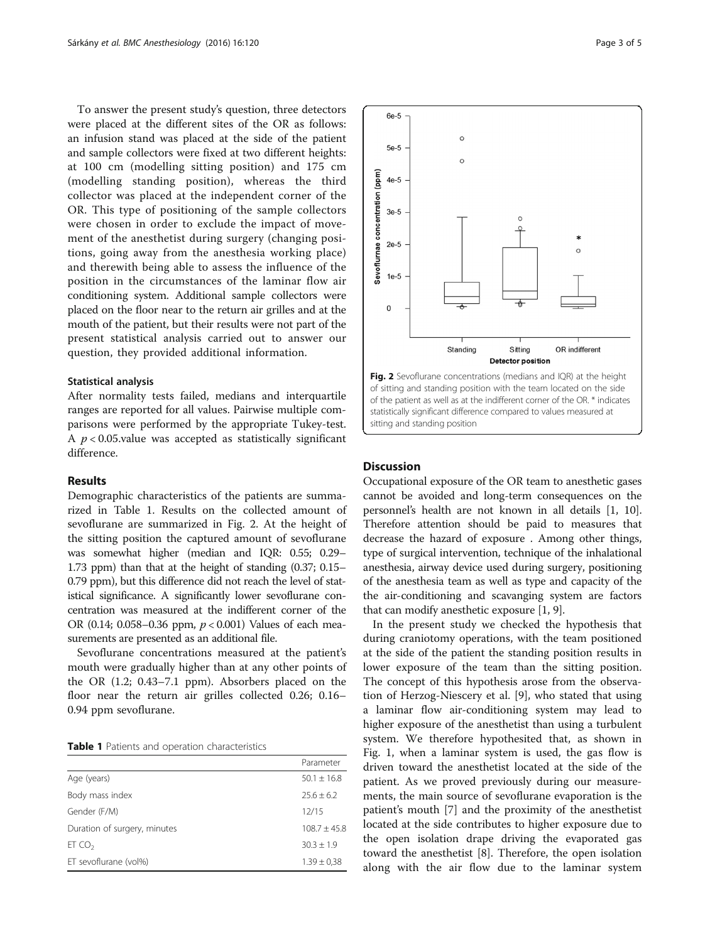To answer the present study's question, three detectors were placed at the different sites of the OR as follows: an infusion stand was placed at the side of the patient and sample collectors were fixed at two different heights: at 100 cm (modelling sitting position) and 175 cm (modelling standing position), whereas the third collector was placed at the independent corner of the OR. This type of positioning of the sample collectors were chosen in order to exclude the impact of movement of the anesthetist during surgery (changing positions, going away from the anesthesia working place) and therewith being able to assess the influence of the position in the circumstances of the laminar flow air conditioning system. Additional sample collectors were placed on the floor near to the return air grilles and at the mouth of the patient, but their results were not part of the present statistical analysis carried out to answer our question, they provided additional information.

## Statistical analysis

After normality tests failed, medians and interquartile ranges are reported for all values. Pairwise multiple comparisons were performed by the appropriate Tukey-test. A  $p < 0.05$  value was accepted as statistically significant difference.

## Results

Demographic characteristics of the patients are summarized in Table 1. Results on the collected amount of sevoflurane are summarized in Fig. 2. At the height of the sitting position the captured amount of sevoflurane was somewhat higher (median and IQR: 0.55; 0.29– 1.73 ppm) than that at the height of standing (0.37; 0.15– 0.79 ppm), but this difference did not reach the level of statistical significance. A significantly lower sevoflurane concentration was measured at the indifferent corner of the OR (0.14; 0.058–0.36 ppm,  $p < 0.001$ ) Values of each measurements are presented as an additional file.

Sevoflurane concentrations measured at the patient's mouth were gradually higher than at any other points of the OR (1.2; 0.43–7.1 ppm). Absorbers placed on the floor near the return air grilles collected 0.26; 0.16– 0.94 ppm sevoflurane.

| <b>Table 1</b> Patients and operation characteristics |
|-------------------------------------------------------|
|-------------------------------------------------------|

|                              | Parameter       |
|------------------------------|-----------------|
| Age (years)                  | $50.1 \pm 16.8$ |
| Body mass index              | $25.6 + 6.2$    |
| Gender (F/M)                 | 12/15           |
| Duration of surgery, minutes | $108.7 + 45.8$  |
| ET CO <sub>2</sub>           | $30.3 \pm 1.9$  |
| ET sevoflurane (vol%)        | $1.39 \pm 0.38$ |



Fig. 2 Sevoflurane concentrations (medians and IQR) at the height of sitting and standing position with the team located on the side of the patient as well as at the indifferent corner of the OR. \* indicates statistically significant difference compared to values measured at sitting and standing position

## **Discussion**

Occupational exposure of the OR team to anesthetic gases cannot be avoided and long-term consequences on the personnel's health are not known in all details [[1,](#page-3-0) [10](#page-4-0)]. Therefore attention should be paid to measures that decrease the hazard of exposure . Among other things, type of surgical intervention, technique of the inhalational anesthesia, airway device used during surgery, positioning of the anesthesia team as well as type and capacity of the the air-conditioning and scavanging system are factors that can modify anesthetic exposure [[1](#page-3-0), [9\]](#page-4-0).

In the present study we checked the hypothesis that during craniotomy operations, with the team positioned at the side of the patient the standing position results in lower exposure of the team than the sitting position. The concept of this hypothesis arose from the observation of Herzog-Niescery et al. [[9\]](#page-4-0), who stated that using a laminar flow air-conditioning system may lead to higher exposure of the anesthetist than using a turbulent system. We therefore hypothesited that, as shown in Fig. [1,](#page-1-0) when a laminar system is used, the gas flow is driven toward the anesthetist located at the side of the patient. As we proved previously during our measurements, the main source of sevoflurane evaporation is the patient's mouth [[7\]](#page-4-0) and the proximity of the anesthetist located at the side contributes to higher exposure due to the open isolation drape driving the evaporated gas toward the anesthetist [[8\]](#page-4-0). Therefore, the open isolation along with the air flow due to the laminar system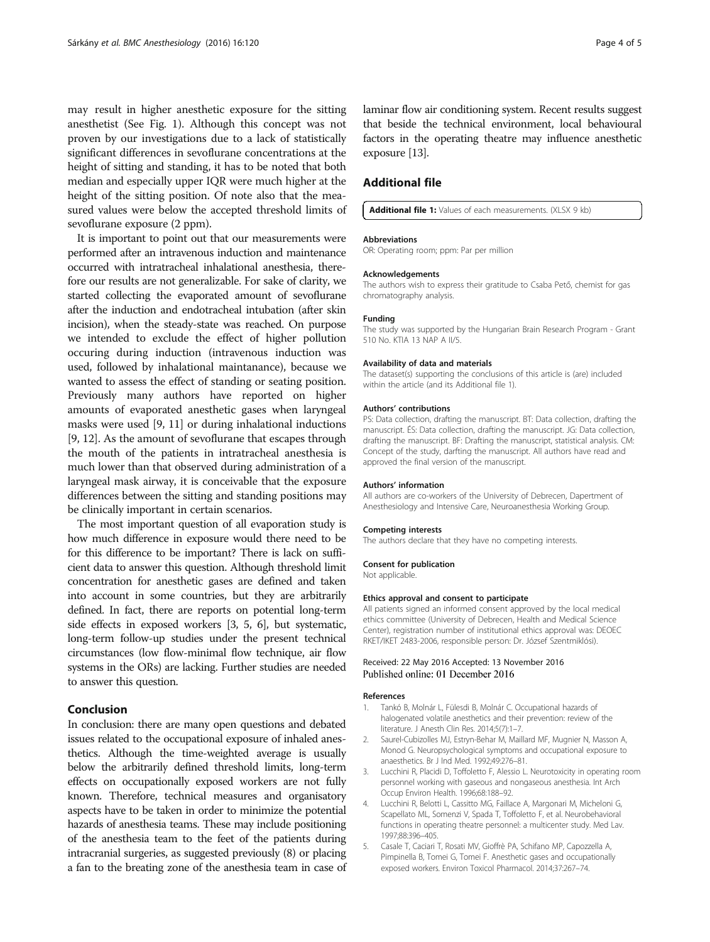<span id="page-3-0"></span>may result in higher anesthetic exposure for the sitting anesthetist (See Fig. [1](#page-1-0)). Although this concept was not proven by our investigations due to a lack of statistically significant differences in sevoflurane concentrations at the height of sitting and standing, it has to be noted that both median and especially upper IQR were much higher at the height of the sitting position. Of note also that the measured values were below the accepted threshold limits of sevoflurane exposure (2 ppm).

It is important to point out that our measurements were performed after an intravenous induction and maintenance occurred with intratracheal inhalational anesthesia, therefore our results are not generalizable. For sake of clarity, we started collecting the evaporated amount of sevoflurane after the induction and endotracheal intubation (after skin incision), when the steady-state was reached. On purpose we intended to exclude the effect of higher pollution occuring during induction (intravenous induction was used, followed by inhalational maintanance), because we wanted to assess the effect of standing or seating position. Previously many authors have reported on higher amounts of evaporated anesthetic gases when laryngeal masks were used [\[9](#page-4-0), [11\]](#page-4-0) or during inhalational inductions [[9, 12\]](#page-4-0). As the amount of sevoflurane that escapes through the mouth of the patients in intratracheal anesthesia is much lower than that observed during administration of a laryngeal mask airway, it is conceivable that the exposure differences between the sitting and standing positions may be clinically important in certain scenarios.

The most important question of all evaporation study is how much difference in exposure would there need to be for this difference to be important? There is lack on sufficient data to answer this question. Although threshold limit concentration for anesthetic gases are defined and taken into account in some countries, but they are arbitrarily defined. In fact, there are reports on potential long-term side effects in exposed workers [3, 5, [6\]](#page-4-0), but systematic, long-term follow-up studies under the present technical circumstances (low flow-minimal flow technique, air flow systems in the ORs) are lacking. Further studies are needed to answer this question.

## Conclusion

In conclusion: there are many open questions and debated issues related to the occupational exposure of inhaled anesthetics. Although the time-weighted average is usually below the arbitrarily defined threshold limits, long-term effects on occupationally exposed workers are not fully known. Therefore, technical measures and organisatory aspects have to be taken in order to minimize the potential hazards of anesthesia teams. These may include positioning of the anesthesia team to the feet of the patients during intracranial surgeries, as suggested previously (8) or placing a fan to the breating zone of the anesthesia team in case of laminar flow air conditioning system. Recent results suggest that beside the technical environment, local behavioural factors in the operating theatre may influence anesthetic exposure [[13\]](#page-4-0).

## Additional file

### [Additional file 1:](dx.doi.org/10.1186/s12871-016-0284-0) Values of each measurements. (XLSX 9 kb)

#### **Abbreviations**

OR: Operating room; ppm: Par per million

#### Acknowledgements

The authors wish to express their gratitude to Csaba Pető, chemist for gas chromatography analysis.

#### Funding

The study was supported by the Hungarian Brain Research Program - Grant 510 No. KTIA 13 NAP A II/5.

### Availability of data and materials

The dataset(s) supporting the conclusions of this article is (are) included within the article (and its Additional file 1).

## Authors' contributions

PS: Data collection, drafting the manuscript. BT: Data collection, drafting the manuscript. ÉS: Data collection, drafting the manuscript. JG: Data collection, drafting the manuscript. BF: Drafting the manuscript, statistical analysis. CM: Concept of the study, darfting the manuscript. All authors have read and approved the final version of the manuscript.

#### Authors' information

All authors are co-workers of the University of Debrecen, Dapertment of Anesthesiology and Intensive Care, Neuroanesthesia Working Group.

#### Competing interests

The authors declare that they have no competing interests.

#### Consent for publication

Not applicable.

#### Ethics approval and consent to participate

All patients signed an informed consent approved by the local medical ethics committee (University of Debrecen, Health and Medical Science Center), registration number of institutional ethics approval was: DEOEC RKET/IKET 2483-2006, responsible person: Dr. József Szentmiklósi).

## Received: 22 May 2016 Accepted: 13 November 2016 Published online: 01 December 2016

#### References

- 1. Tankó B, Molnár L, Fülesdi B, Molnár C. Occupational hazards of halogenated volatile anesthetics and their prevention: review of the literature. J Anesth Clin Res. 2014;5(7):1–7.
- 2. Saurel-Cubizolles MJ, Estryn-Behar M, Maillard MF, Mugnier N, Masson A, Monod G. Neuropsychological symptoms and occupational exposure to anaesthetics. Br J Ind Med. 1992;49:276–81.
- 3. Lucchini R, Placidi D, Toffoletto F, Alessio L. Neurotoxicity in operating room personnel working with gaseous and nongaseous anesthesia. Int Arch Occup Environ Health. 1996;68:188–92.
- 4. Lucchini R, Belotti L, Cassitto MG, Faillace A, Margonari M, Micheloni G, Scapellato ML, Somenzi V, Spada T, Toffoletto F, et al. Neurobehavioral functions in operating theatre personnel: a multicenter study. Med Lav. 1997;88:396–405.
- 5. Casale T, Caciari T, Rosati MV, Gioffrè PA, Schifano MP, Capozzella A, Pimpinella B, Tomei G, Tomei F. Anesthetic gases and occupationally exposed workers. Environ Toxicol Pharmacol. 2014;37:267–74.